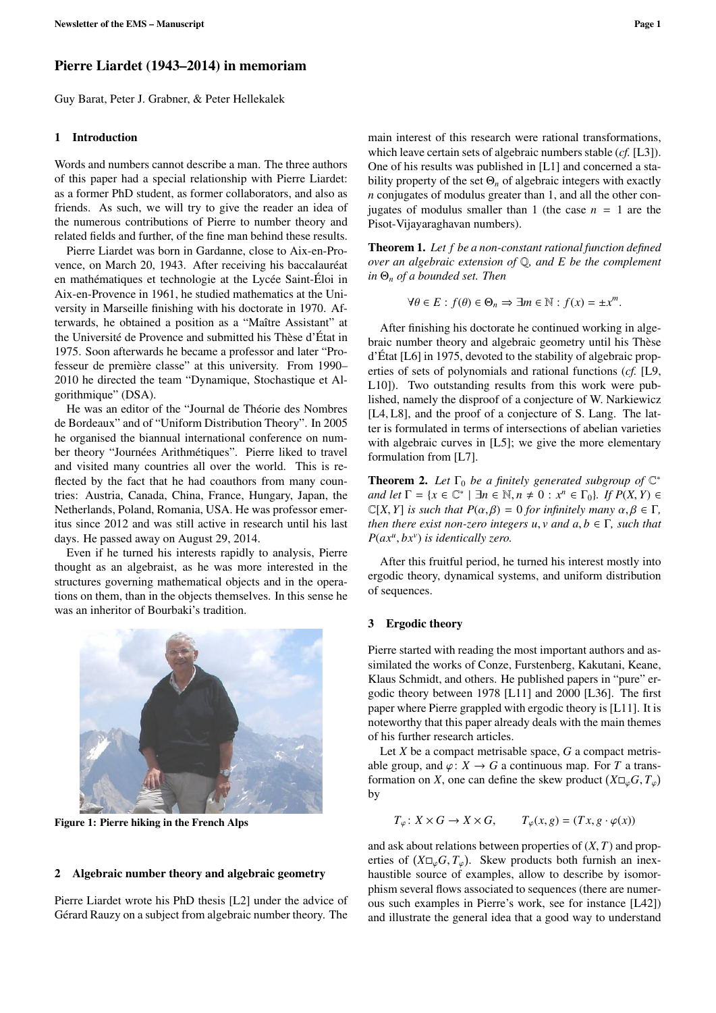# Pierre Liardet (1943–2014) in memoriam

Guy Barat, Peter J. Grabner, & Peter Hellekalek

#### 1 Introduction

Words and numbers cannot describe a man. The three authors of this paper had a special relationship with Pierre Liardet: as a former PhD student, as former collaborators, and also as friends. As such, we will try to give the reader an idea of the numerous contributions of Pierre to number theory and related fields and further, of the fine man behind these results.

Pierre Liardet was born in Gardanne, close to Aix-en-Provence, on March 20, 1943. After receiving his baccalauréat en mathématiques et technologie at the Lycée Saint-Éloi in Aix-en-Provence in 1961, he studied mathematics at the University in Marseille finishing with his doctorate in 1970. Afterwards, he obtained a position as a "Maître Assistant" at the Université de Provence and submitted his Thèse d'État in 1975. Soon afterwards he became a professor and later "Professeur de première classe" at this university. From 1990– 2010 he directed the team "Dynamique, Stochastique et Algorithmique" (DSA).

He was an editor of the "Journal de Théorie des Nombres de Bordeaux" and of "Uniform Distribution Theory". In 2005 he organised the biannual international conference on number theory "Journées Arithmétiques". Pierre liked to travel and visited many countries all over the world. This is reflected by the fact that he had coauthors from many countries: Austria, Canada, China, France, Hungary, Japan, the Netherlands, Poland, Romania, USA. He was professor emeritus since 2012 and was still active in research until his last days. He passed away on August 29, 2014.

Even if he turned his interests rapidly to analysis, Pierre thought as an algebraist, as he was more interested in the structures governing mathematical objects and in the operations on them, than in the objects themselves. In this sense he was an inheritor of Bourbaki's tradition.



Figure 1: Pierre hiking in the French Alps

#### 2 Algebraic number theory and algebraic geometry

Pierre Liardet wrote his PhD thesis [L2] under the advice of Gérard Rauzy on a subject from algebraic number theory. The

main interest of this research were rational transformations, which leave certain sets of algebraic numbers stable (*cf.* [L3]). One of his results was published in [L1] and concerned a stability property of the set  $\Theta_n$  of algebraic integers with exactly *n* conjugates of modulus greater than 1, and all the other conjugates of modulus smaller than 1 (the case  $n = 1$  are the Pisot-Vijayaraghavan numbers).

Theorem 1. *Let f be a non-constant rational function defined over an algebraic extension of* Q*, and E be the complement in* Θ*<sup>n</sup> of a bounded set. Then*

$$
\forall \theta \in E : f(\theta) \in \Theta_n \Rightarrow \exists m \in \mathbb{N} : f(x) = \pm x^m.
$$

After finishing his doctorate he continued working in algebraic number theory and algebraic geometry until his Thèse d'État [L6] in 1975, devoted to the stability of algebraic properties of sets of polynomials and rational functions (*cf.* [L9, L10]). Two outstanding results from this work were published, namely the disproof of a conjecture of W. Narkiewicz [L4, L8], and the proof of a conjecture of S. Lang. The latter is formulated in terms of intersections of abelian varieties with algebraic curves in [L5]; we give the more elementary formulation from [L7].

**Theorem 2.** Let  $\Gamma_0$  be a finitely generated subgroup of  $\mathbb{C}^*$ *and let*  $\Gamma = \{x \in \mathbb{C}^* \mid \exists n \in \mathbb{N}, n \neq 0 : x^n \in \Gamma_0\}$ *. If*  $P(X, Y) \in \mathbb{C}[X, Y]$  is such that  $P(\alpha, \beta) = 0$  for infinitely many  $\alpha, \beta \in \Gamma$  $\mathbb{C}[X, Y]$  *is such that*  $P(\alpha, \beta) = 0$  *for infinitely many*  $\alpha, \beta \in \Gamma$ , *then there exist non-zero integers u, v and*  $a, b \in \Gamma$ *, such that P*(*ax<sup>u</sup>* , *bxv* ) *is identically zero.*

After this fruitful period, he turned his interest mostly into ergodic theory, dynamical systems, and uniform distribution of sequences.

#### 3 Ergodic theory

Pierre started with reading the most important authors and assimilated the works of Conze, Furstenberg, Kakutani, Keane, Klaus Schmidt, and others. He published papers in "pure" ergodic theory between 1978 [L11] and 2000 [L36]. The first paper where Pierre grappled with ergodic theory is [L11]. It is noteworthy that this paper already deals with the main themes of his further research articles.

Let *X* be a compact metrisable space, *G* a compact metrisable group, and  $\varphi: X \to G$  a continuous map. For *T* a transformation on *X*, one can define the skew product  $(X \square_{\varphi} G, T_{\varphi})$ by

$$
T_{\varphi} \colon X \times G \to X \times G, \qquad T_{\varphi}(x, g) = (Tx, g \cdot \varphi(x))
$$

and ask about relations between properties of (*X*, *<sup>T</sup>*) and properties of  $(X\square_{\varphi}G, T_{\varphi})$ . Skew products both furnish an inex-<br>haustible source of examples, allow to describe by isomorhaustible source of examples, allow to describe by isomorphism several flows associated to sequences (there are numerous such examples in Pierre's work, see for instance [L42]) and illustrate the general idea that a good way to understand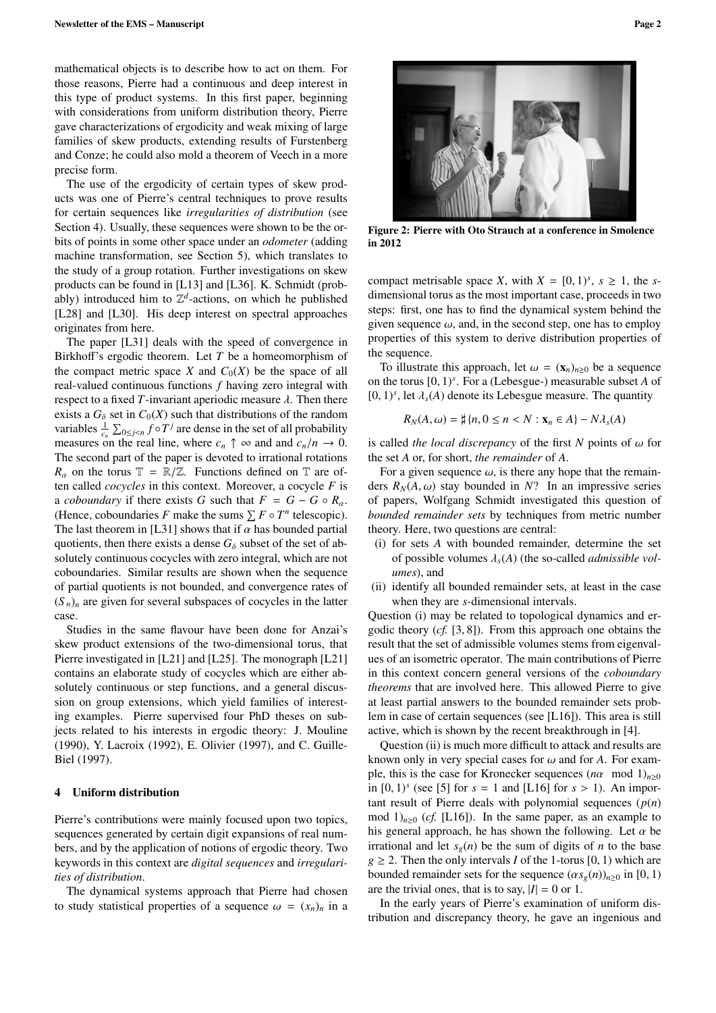mathematical objects is to describe how to act on them. For those reasons, Pierre had a continuous and deep interest in this type of product systems. In this first paper, beginning with considerations from uniform distribution theory, Pierre gave characterizations of ergodicity and weak mixing of large families of skew products, extending results of Furstenberg and Conze; he could also mold a theorem of Veech in a more precise form.

The use of the ergodicity of certain types of skew products was one of Pierre's central techniques to prove results for certain sequences like *irregularities of distribution* (see Section 4). Usually, these sequences were shown to be the orbits of points in some other space under an *odometer* (adding machine transformation, see Section 5), which translates to the study of a group rotation. Further investigations on skew products can be found in [L13] and [L36]. K. Schmidt (probably) introduced him to  $\mathbb{Z}^d$ -actions, on which he published [L28] and [L30]. His deep interest on spectral approaches originates from here.

The paper [L31] deals with the speed of convergence in Birkhoff's ergodic theorem. Let *T* be a homeomorphism of the compact metric space *X* and  $C_0(X)$  be the space of all real-valued continuous functions *f* having zero integral with respect to a fixed  $T$ -invariant aperiodic measure  $\lambda$ . Then there exists a  $G_{\delta}$  set in  $C_0(X)$  such that distributions of the random variables  $\frac{1}{c_n} \sum_{0 \le j < n} f \circ T^j$  are dense in the set of all probability variables  $\frac{1}{c_n} \sum_{0 \le j < n} \int_0^b I^s$  are dense in the set of an probability<br>measures on the real line, where  $c_n \uparrow \infty$  and and  $c_n/n \to 0$ .<br>The second part of the paper is devoted to irrational rotations The second part of the paper is devoted to irrational rotations  $R_{\alpha}$  on the torus  $\mathbb{T} = \mathbb{R}/\mathbb{Z}$ . Functions defined on  $\mathbb{T}$  are often called *cocycles* in this context. Moreover, a cocycle *F* is a *coboundary* if there exists *G* such that  $F = G - G \circ R_{\alpha}$ . (Hence, coboundaries *F* make the sums  $\sum F \circ T^n$  telescopic). The last theorem in [L31] shows that if  $\alpha$  has bounded partial quotients, then there exists a dense  $G_{\delta}$  subset of the set of absolutely continuous cocycles with zero integral, which are not coboundaries. Similar results are shown when the sequence of partial quotients is not bounded, and convergence rates of  $(S_n)_n$  are given for several subspaces of cocycles in the latter case.

Studies in the same flavour have been done for Anzai's skew product extensions of the two-dimensional torus, that Pierre investigated in [L21] and [L25]. The monograph [L21] contains an elaborate study of cocycles which are either absolutely continuous or step functions, and a general discussion on group extensions, which yield families of interesting examples. Pierre supervised four PhD theses on subjects related to his interests in ergodic theory: J. Mouline (1990), Y. Lacroix (1992), E. Olivier (1997), and C. Guille-Biel (1997).

#### 4 Uniform distribution

Pierre's contributions were mainly focused upon two topics, sequences generated by certain digit expansions of real numbers, and by the application of notions of ergodic theory. Two keywords in this context are *digital sequences* and *irregularities of distribution*.

The dynamical systems approach that Pierre had chosen to study statistical properties of a sequence  $\omega = (x_n)_n$  in a



Figure 2: Pierre with Oto Strauch at a conference in Smolence in 2012

compact metrisable space *X*, with  $X = [0, 1)^s$ ,  $s \ge 1$ , the *s*-<br>dimensional torus as the most important case, proceeds in two dimensional torus as the most important case, proceeds in two steps: first, one has to find the dynamical system behind the given sequence  $\omega$ , and, in the second step, one has to employ properties of this system to derive distribution properties of the sequence.

To illustrate this approach, let  $\omega = (\mathbf{x}_n)_{n \geq 0}$  be a sequence on the torus  $[0, 1)^s$ . For a (Lebesgue-) measurable subset *A* of  $[0, 1)^s$  let  $\lambda$  (*A*) denote its Lebesgue measure. The quantity  $[0, 1)$ <sup>*s*</sup>, let  $\lambda_s(A)$  denote its Lebesgue measure. The quantity

$$
R_N(A,\omega) = \sharp \{n, 0 \le n < N : \mathbf{x}_n \in A\} - N\lambda_s(A)
$$

is called *the local discrepancy* of the first *N* points of  $\omega$  for the set *A* or, for short, *the remainder* of *A*.

For a given sequence  $\omega$ , is there any hope that the remainders  $R_N(A, \omega)$  stay bounded in *N*? In an impressive series of papers, Wolfgang Schmidt investigated this question of *bounded remainder sets* by techniques from metric number theory. Here, two questions are central:

- (i) for sets *A* with bounded remainder, determine the set of possible volumes λ*<sup>s</sup>*(*A*) (the so-called *admissible volumes*), and
- (ii) identify all bounded remainder sets, at least in the case when they are *s*-dimensional intervals.

Question (i) may be related to topological dynamics and ergodic theory (*cf.* [3, 8]). From this approach one obtains the result that the set of admissible volumes stems from eigenvalues of an isometric operator. The main contributions of Pierre in this context concern general versions of the *coboundary theorems* that are involved here. This allowed Pierre to give at least partial answers to the bounded remainder sets problem in case of certain sequences (see [L16]). This area is still active, which is shown by the recent breakthrough in [4].

Question (ii) is much more difficult to attack and results are known only in very special cases for  $\omega$  and for A. For example, this is the case for Kronecker sequences  $(n\alpha \mod 1)_{n>0}$ in  $[0, 1)^s$  (see  $[5]$  for  $s = 1$  and  $[L16]$  for  $s > 1$ ). An impor-<br>tant result of Pierre deals with polynomial sequences  $(n(n))$ tant result of Pierre deals with polynomial sequences (*p*(*n*) mod  $1)_{n\geq0}$  (*cf.* [L16]). In the same paper, as an example to his general approach, he has shown the following. Let  $\alpha$  be irrational and let  $s_g(n)$  be the sum of digits of *n* to the base  $g \ge 2$ . Then the only intervals *I* of the 1-torus [0, 1) which are bounded remainder sets for the sequence  $(\alpha s_g(n))_{n\geq 0}$  in [0, 1) are the trivial ones, that is to say,  $|I| = 0$  or 1.

In the early years of Pierre's examination of uniform distribution and discrepancy theory, he gave an ingenious and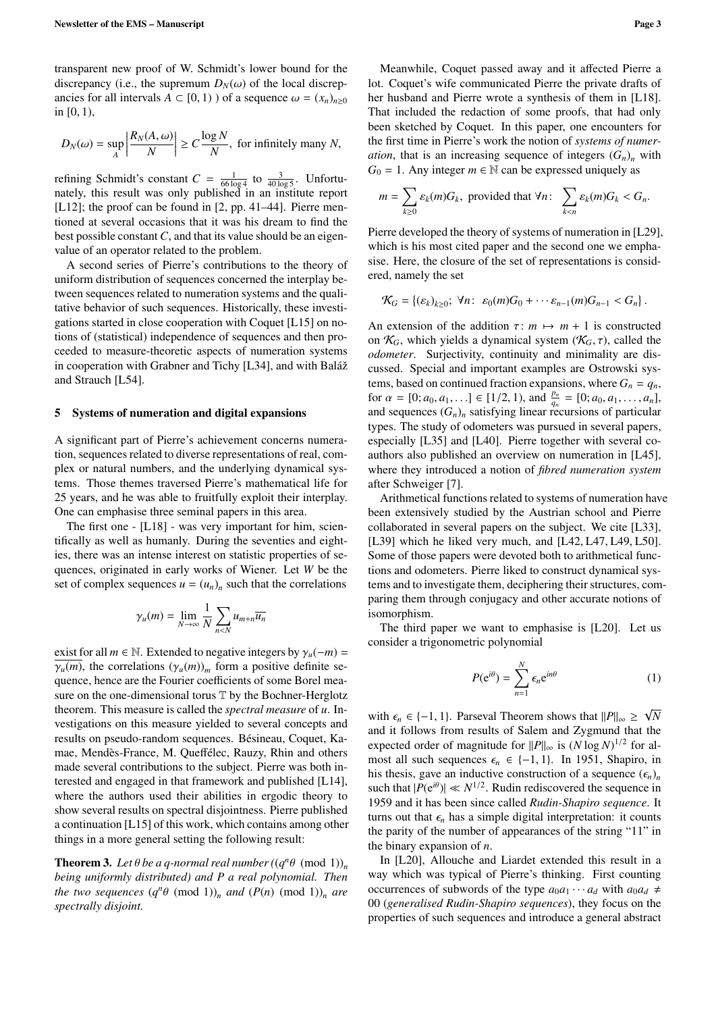transparent new proof of W. Schmidt's lower bound for the discrepancy (i.e., the supremum  $D_N(\omega)$  of the local discrepancies for all intervals  $A \subset [0, 1)$  ) of a sequence  $\omega = (x_n)_{n \ge 0}$ in [0, 1),

$$
D_N(\omega) = \sup_A \left| \frac{R_N(A, \omega)}{N} \right| \ge C \frac{\log N}{N}, \text{ for infinitely many } N,
$$

refining Schmidt's constant  $C = \frac{1}{66 \log 4}$  to  $\frac{3}{40 \log 5}$ . Unfortunately, this result was only published in an institute report [L12]; the proof can be found in [2, pp. 41–44]. Pierre mentioned at several occasions that it was his dream to find the best possible constant *C*, and that its value should be an eigenvalue of an operator related to the problem.

A second series of Pierre's contributions to the theory of uniform distribution of sequences concerned the interplay between sequences related to numeration systems and the qualitative behavior of such sequences. Historically, these investigations started in close cooperation with Coquet [L15] on notions of (statistical) independence of sequences and then proceeded to measure-theoretic aspects of numeration systems in cooperation with Grabner and Tichy [L34], and with Baláž and Strauch [L54].

#### 5 Systems of numeration and digital expansions

A significant part of Pierre's achievement concerns numeration, sequences related to diverse representations of real, complex or natural numbers, and the underlying dynamical systems. Those themes traversed Pierre's mathematical life for 25 years, and he was able to fruitfully exploit their interplay. One can emphasise three seminal papers in this area.

The first one - [L18] - was very important for him, scientifically as well as humanly. During the seventies and eighties, there was an intense interest on statistic properties of sequences, originated in early works of Wiener. Let *W* be the set of complex sequences  $u = (u_n)_n$  such that the correlations

$$
\gamma_u(m) = \lim_{N \to \infty} \frac{1}{N} \sum_{n < N} u_{m+n} \overline{u_n}
$$

exist for all  $m \in \mathbb{N}$ . Extended to negative integers by  $\gamma_u(-m)$  =  $\overline{\gamma_u(m)}$ , the correlations  $(\gamma_u(m))_m$  form a positive definite sequence, hence are the Fourier coefficients of some Borel measure on the one-dimensional torus T by the Bochner-Herglotz theorem. This measure is called the *spectral measure* of *u*. Investigations on this measure yielded to several concepts and results on pseudo-random sequences. Bésineau, Coquet, Kamae, Mendès-France, M. Queffélec, Rauzy, Rhin and others made several contributions to the subject. Pierre was both interested and engaged in that framework and published [L14], where the authors used their abilities in ergodic theory to show several results on spectral disjointness. Pierre published a continuation [L15] of this work, which contains among other things in a more general setting the following result:

**Theorem 3.** Let  $\theta$  be a q-normal real number  $((q^n \theta \pmod{1}))_n$ <br>being uniformly distributed) and *P a real polynomial. Then being uniformly distributed) and P a real polynomial. Then the two sequences*  $(q^n \theta \pmod{1})_n$  *and*  $(P(n) \pmod{1})_n$  *are*<br>*spectrally disjoint spectrally disjoint.*

Meanwhile, Coquet passed away and it affected Pierre a lot. Coquet's wife communicated Pierre the private drafts of her husband and Pierre wrote a synthesis of them in [L18]. That included the redaction of some proofs, that had only been sketched by Coquet. In this paper, one encounters for the first time in Pierre's work the notion of *systems of numeration*, that is an increasing sequence of integers  $(G_n)$ <sup>n</sup> with  $G_0 = 1$ . Any integer  $m \in \mathbb{N}$  can be expressed uniquely as

$$
m = \sum_{k\geq 0} \varepsilon_k(m) G_k
$$
, provided that  $\forall n$ :  $\sum_{k < n} \varepsilon_k(m) G_k < G_n$ .

Pierre developed the theory of systems of numeration in [L29], which is his most cited paper and the second one we emphasise. Here, the closure of the set of representations is considered, namely the set

$$
\mathcal{K}_G=\left\{(\varepsilon_k)_{k\geq 0};\ \forall n:\ \varepsilon_0(m)G_0+\cdots\varepsilon_{n-1}(m)G_{n-1}
$$

An extension of the addition  $\tau$ :  $m \mapsto m + 1$  is constructed on  $\mathcal{K}_G$ , which yields a dynamical system  $(\mathcal{K}_G, \tau)$ , called the *odometer*. Surjectivity, continuity and minimality are discussed. Special and important examples are Ostrowski systems, based on continued fraction expansions, where  $G_n = q_n$ , for  $\alpha = [0; a_0, a_1, \ldots] \in [1/2, 1)$ , and  $\frac{p_n}{q_n} = [0; a_0, a_1, \ldots, a_n]$ , and sequences  $(G)$ , satisfying linear recursions of particular and sequences  $(G_n)_n$  satisfying linear recursions of particular types. The study of odometers was pursued in several papers, especially [L35] and [L40]. Pierre together with several coauthors also published an overview on numeration in [L45], where they introduced a notion of *fibred numeration system* after Schweiger [7].

Arithmetical functions related to systems of numeration have been extensively studied by the Austrian school and Pierre collaborated in several papers on the subject. We cite [L33], [L39] which he liked very much, and [L42, L47, L49, L50]. Some of those papers were devoted both to arithmetical functions and odometers. Pierre liked to construct dynamical systems and to investigate them, deciphering their structures, comparing them through conjugacy and other accurate notions of isomorphism.

The third paper we want to emphasise is [L20]. Let us consider a trigonometric polynomial

$$
P(e^{i\theta}) = \sum_{n=1}^{N} \epsilon_n e^{in\theta} \tag{1}
$$

with  $\epsilon_n \in \{-1, 1\}$ . Parseval Theorem shows that  $||P||_{\infty} \ge$ <br>and it follows from results of Salem and Zygmund the √ *N* and it follows from results of Salem and Zygmund that the expected order of magnitude for  $||P||_{\infty}$  is  $(N \log N)^{1/2}$  for almost all such sequences  $\epsilon_n \in \{-1, 1\}$ . In 1951, Shapiro, in his thesis, gave an inductive construction of a sequence  $(\epsilon_n)_n$ such that  $|P(e^{i\theta})| \ll N^{1/2}$ . Rudin rediscovered the sequence in 1959 and it has been since called *Rudin-Shapiro sequence*. It turns out that  $\epsilon_n$  has a simple digital interpretation: it counts the parity of the number of appearances of the string "11" in the binary expansion of *n*.

In [L20], Allouche and Liardet extended this result in a way which was typical of Pierre's thinking. First counting occurrences of subwords of the type  $a_0a_1 \cdots a_d$  with  $a_0a_d \neq$ 00 (*generalised Rudin-Shapiro sequences*), they focus on the properties of such sequences and introduce a general abstract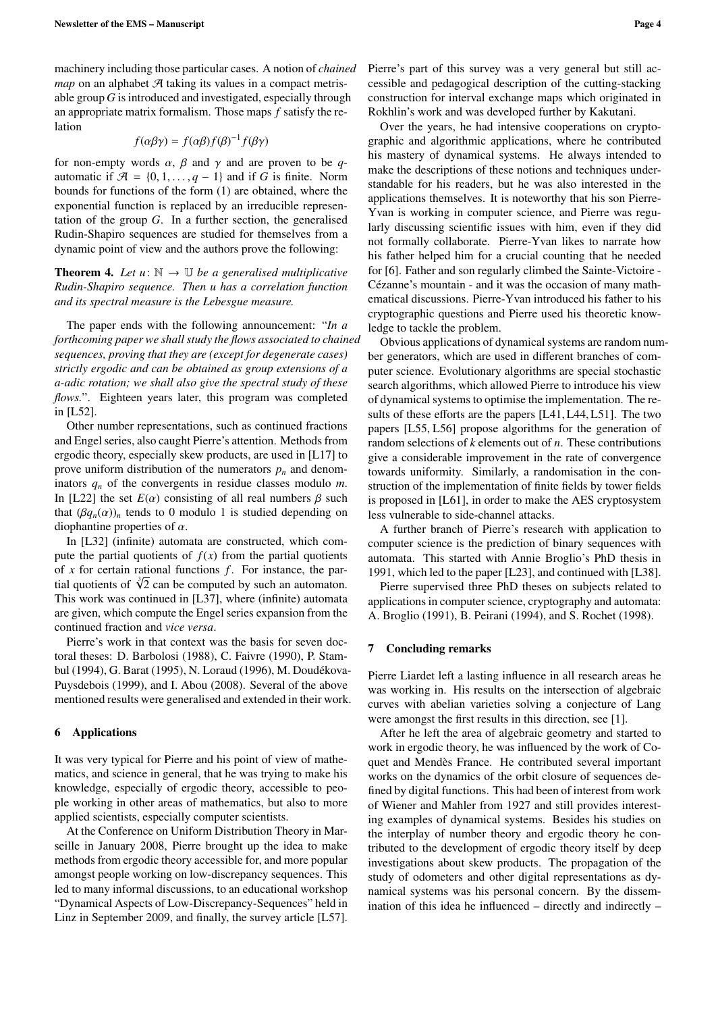machinery including those particular cases. A notion of *chained map* on an alphabet  $A$  taking its values in a compact metrisable group *G* is introduced and investigated, especially through an appropriate matrix formalism. Those maps *f* satisfy the relation

$$
f(\alpha\beta\gamma) = f(\alpha\beta)f(\beta)^{-1}f(\beta\gamma)
$$

for non-empty words  $\alpha$ ,  $\beta$  and  $\gamma$  and are proven to be *q*automatic if  $\mathcal{A} = \{0, 1, \ldots, q - 1\}$  and if *G* is finite. Norm bounds for functions of the form (1) are obtained, where the exponential function is replaced by an irreducible representation of the group *G*. In a further section, the generalised Rudin-Shapiro sequences are studied for themselves from a dynamic point of view and the authors prove the following:

**Theorem 4.** Let  $u: \mathbb{N} \to \mathbb{U}$  be a generalised multiplicative *Rudin-Shapiro sequence. Then u has a correlation function and its spectral measure is the Lebesgue measure.*

The paper ends with the following announcement: "*In a forthcoming paper we shall study the flows associated to chained sequences, proving that they are (except for degenerate cases) strictly ergodic and can be obtained as group extensions of a a-adic rotation; we shall also give the spectral study of these flows.*". Eighteen years later, this program was completed in [L52].

Other number representations, such as continued fractions and Engel series, also caught Pierre's attention. Methods from ergodic theory, especially skew products, are used in [L17] to prove uniform distribution of the numerators  $p_n$  and denominators *q<sup>n</sup>* of the convergents in residue classes modulo *m*. In [L22] the set  $E(\alpha)$  consisting of all real numbers  $\beta$  such that  $(\beta q_n(\alpha))_n$  tends to 0 modulo 1 is studied depending on diophantine properties of  $\alpha$ .

In [L32] (infinite) automata are constructed, which compute the partial quotients of  $f(x)$  from the partial quotients of *x* for certain rational functions *f* . For instance, the paror x for certain rational functions *f*. For instance, the partial quotients of  $\sqrt[3]{2}$  can be computed by such an automaton. This work was continued in [L37], where (infinite) automata are given, which compute the Engel series expansion from the continued fraction and *vice versa*.

Pierre's work in that context was the basis for seven doctoral theses: D. Barbolosi (1988), C. Faivre (1990), P. Stambul (1994), G. Barat (1995), N. Loraud (1996), M. Doudékova-Puysdebois (1999), and I. Abou (2008). Several of the above mentioned results were generalised and extended in their work.

### 6 Applications

It was very typical for Pierre and his point of view of mathematics, and science in general, that he was trying to make his knowledge, especially of ergodic theory, accessible to people working in other areas of mathematics, but also to more applied scientists, especially computer scientists.

At the Conference on Uniform Distribution Theory in Marseille in January 2008, Pierre brought up the idea to make methods from ergodic theory accessible for, and more popular amongst people working on low-discrepancy sequences. This led to many informal discussions, to an educational workshop "Dynamical Aspects of Low-Discrepancy-Sequences" held in Linz in September 2009, and finally, the survey article [L57].

Over the years, he had intensive cooperations on cryptographic and algorithmic applications, where he contributed his mastery of dynamical systems. He always intended to make the descriptions of these notions and techniques understandable for his readers, but he was also interested in the applications themselves. It is noteworthy that his son Pierre-Yvan is working in computer science, and Pierre was regularly discussing scientific issues with him, even if they did not formally collaborate. Pierre-Yvan likes to narrate how his father helped him for a crucial counting that he needed for [6]. Father and son regularly climbed the Sainte-Victoire - Cézanne's mountain - and it was the occasion of many mathematical discussions. Pierre-Yvan introduced his father to his cryptographic questions and Pierre used his theoretic knowledge to tackle the problem.

Obvious applications of dynamical systems are random number generators, which are used in different branches of computer science. Evolutionary algorithms are special stochastic search algorithms, which allowed Pierre to introduce his view of dynamical systems to optimise the implementation. The results of these efforts are the papers [L41, L44, L51]. The two papers [L55, L56] propose algorithms for the generation of random selections of *k* elements out of *n*. These contributions give a considerable improvement in the rate of convergence towards uniformity. Similarly, a randomisation in the construction of the implementation of finite fields by tower fields is proposed in [L61], in order to make the AES cryptosystem less vulnerable to side-channel attacks.

A further branch of Pierre's research with application to computer science is the prediction of binary sequences with automata. This started with Annie Broglio's PhD thesis in 1991, which led to the paper [L23], and continued with [L38].

Pierre supervised three PhD theses on subjects related to applications in computer science, cryptography and automata: A. Broglio (1991), B. Peirani (1994), and S. Rochet (1998).

## 7 Concluding remarks

Pierre Liardet left a lasting influence in all research areas he was working in. His results on the intersection of algebraic curves with abelian varieties solving a conjecture of Lang were amongst the first results in this direction, see [1].

After he left the area of algebraic geometry and started to work in ergodic theory, he was influenced by the work of Coquet and Mendès France. He contributed several important works on the dynamics of the orbit closure of sequences defined by digital functions. This had been of interest from work of Wiener and Mahler from 1927 and still provides interesting examples of dynamical systems. Besides his studies on the interplay of number theory and ergodic theory he contributed to the development of ergodic theory itself by deep investigations about skew products. The propagation of the study of odometers and other digital representations as dynamical systems was his personal concern. By the dissemination of this idea he influenced – directly and indirectly –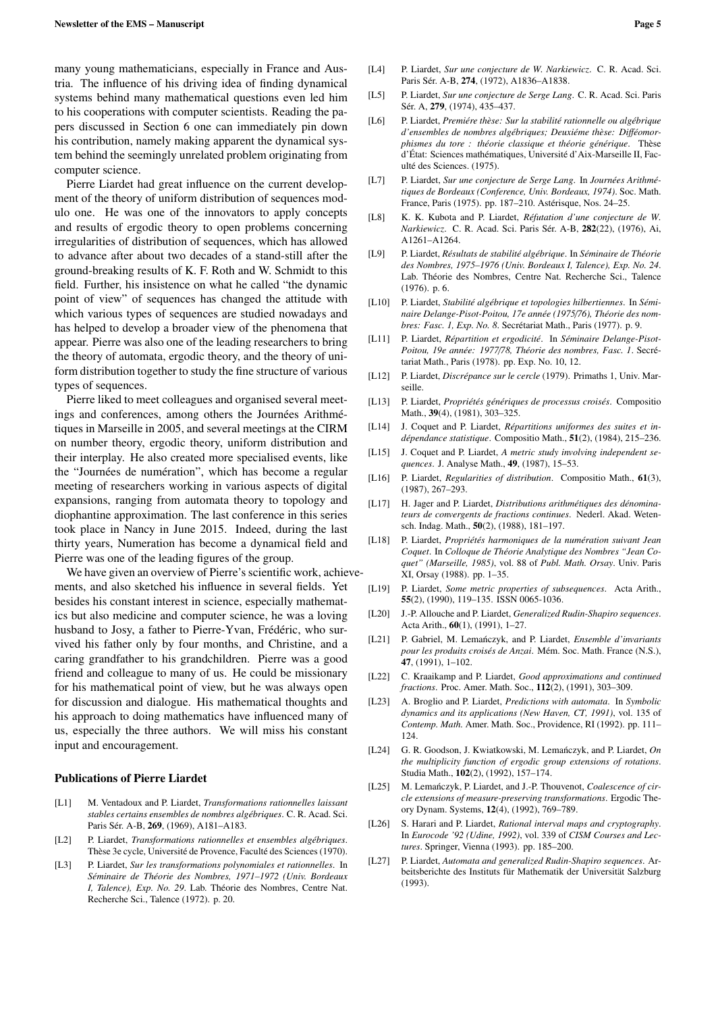many young mathematicians, especially in France and Austria. The influence of his driving idea of finding dynamical systems behind many mathematical questions even led him to his cooperations with computer scientists. Reading the papers discussed in Section 6 one can immediately pin down his contribution, namely making apparent the dynamical system behind the seemingly unrelated problem originating from computer science.

Pierre Liardet had great influence on the current development of the theory of uniform distribution of sequences modulo one. He was one of the innovators to apply concepts and results of ergodic theory to open problems concerning irregularities of distribution of sequences, which has allowed to advance after about two decades of a stand-still after the ground-breaking results of K. F. Roth and W. Schmidt to this field. Further, his insistence on what he called "the dynamic point of view" of sequences has changed the attitude with which various types of sequences are studied nowadays and has helped to develop a broader view of the phenomena that appear. Pierre was also one of the leading researchers to bring the theory of automata, ergodic theory, and the theory of uniform distribution together to study the fine structure of various types of sequences.

Pierre liked to meet colleagues and organised several meetings and conferences, among others the Journées Arithmétiques in Marseille in 2005, and several meetings at the CIRM on number theory, ergodic theory, uniform distribution and their interplay. He also created more specialised events, like the "Journées de numération", which has become a regular meeting of researchers working in various aspects of digital expansions, ranging from automata theory to topology and diophantine approximation. The last conference in this series took place in Nancy in June 2015. Indeed, during the last thirty years, Numeration has become a dynamical field and Pierre was one of the leading figures of the group.

We have given an overview of Pierre's scientific work, achievements, and also sketched his influence in several fields. Yet besides his constant interest in science, especially mathematics but also medicine and computer science, he was a loving husband to Josy, a father to Pierre-Yvan, Frédéric, who survived his father only by four months, and Christine, and a caring grandfather to his grandchildren. Pierre was a good friend and colleague to many of us. He could be missionary for his mathematical point of view, but he was always open for discussion and dialogue. His mathematical thoughts and his approach to doing mathematics have influenced many of us, especially the three authors. We will miss his constant input and encouragement.

#### Publications of Pierre Liardet

- [L1] M. Ventadoux and P. Liardet, *Transformations rationnelles laissant stables certains ensembles de nombres algébriques*. C. R. Acad. Sci. Paris Sér. A-B, 269, (1969), A181–A183.
- [L2] P. Liardet, *Transformations rationnelles et ensembles algébriques*. Thèse 3e cycle, Université de Provence, Faculté des Sciences (1970).
- [L3] P. Liardet, *Sur les transformations polynomiales et rationnelles*. In *Séminaire de Théorie des Nombres, 1971–1972 (Univ. Bordeaux I, Talence), Exp. No. 29*. Lab. Théorie des Nombres, Centre Nat. Recherche Sci., Talence (1972). p. 20.
- [L4] P. Liardet, *Sur une conjecture de W. Narkiewicz*. C. R. Acad. Sci. Paris Sér. A-B, 274, (1972), A1836–A1838.
- [L5] P. Liardet, *Sur une conjecture de Serge Lang*. C. R. Acad. Sci. Paris Sér. A, 279, (1974), 435–437.
- [L6] P. Liardet, *Premiére thèse: Sur la stabilité rationnelle ou algébrique d'ensembles de nombres algébriques; Deuxiéme thèse: Di*ff*éomorphismes du tore : théorie classique et théorie générique*. Thèse d'État: Sciences mathématiques, Université d'Aix-Marseille II, Faculté des Sciences. (1975).
- [L7] P. Liardet, *Sur une conjecture de Serge Lang*. In *Journées Arithmétiques de Bordeaux (Conference, Univ. Bordeaux, 1974)*. Soc. Math. France, Paris (1975). pp. 187–210. Astérisque, Nos. 24–25.
- [L8] K. K. Kubota and P. Liardet, *Réfutation d'une conjecture de W. Narkiewicz*. C. R. Acad. Sci. Paris Sér. A-B, 282(22), (1976), Ai, A1261–A1264.
- [L9] P. Liardet, *Résultats de stabilité algébrique*. In *Séminaire de Théorie des Nombres, 1975–1976 (Univ. Bordeaux I, Talence), Exp. No. 24*. Lab. Théorie des Nombres, Centre Nat. Recherche Sci., Talence (1976). p. 6.
- [L10] P. Liardet, *Stabilité algébrique et topologies hilbertiennes*. In *Séminaire Delange-Pisot-Poitou, 17e année (1975*/*76), Théorie des nombres: Fasc. 1, Exp. No. 8*. Secrétariat Math., Paris (1977). p. 9.
- [L11] P. Liardet, *Répartition et ergodicité*. In *Séminaire Delange-Pisot-Poitou, 19e année: 1977*/*78, Théorie des nombres, Fasc. 1*. Secrétariat Math., Paris (1978). pp. Exp. No. 10, 12.
- [L12] P. Liardet, *Discrépance sur le cercle* (1979). Primaths 1, Univ. Marseille.
- [L13] P. Liardet, *Propriétés génériques de processus croisés*. Compositio Math., 39(4), (1981), 303–325.
- [L14] J. Coquet and P. Liardet, *Répartitions uniformes des suites et indépendance statistique*. Compositio Math., 51(2), (1984), 215–236.
- [L15] J. Coquet and P. Liardet, *A metric study involving independent sequences*. J. Analyse Math., 49, (1987), 15–53.
- [L16] P. Liardet, *Regularities of distribution*. Compositio Math., 61(3), (1987), 267–293.
- [L17] H. Jager and P. Liardet, *Distributions arithmétiques des dénominateurs de convergents de fractions continues*. Nederl. Akad. Wetensch. Indag. Math., 50(2), (1988), 181–197.
- [L18] P. Liardet, *Propriétés harmoniques de la numération suivant Jean Coquet*. In *Colloque de Théorie Analytique des Nombres "Jean Coquet" (Marseille, 1985)*, vol. 88 of *Publ. Math. Orsay*. Univ. Paris XI, Orsay (1988). pp. 1–35.
- [L19] P. Liardet, *Some metric properties of subsequences*. Acta Arith., 55(2), (1990), 119–135. ISSN 0065-1036.
- [L20] J.-P. Allouche and P. Liardet, *Generalized Rudin-Shapiro sequences*. Acta Arith., 60(1), (1991), 1–27.
- [L21] P. Gabriel, M. Lemańczyk, and P. Liardet, *Ensemble d'invariants pour les produits croisés de Anzai*. Mém. Soc. Math. France (N.S.), 47, (1991), 1–102.
- [L22] C. Kraaikamp and P. Liardet, *Good approximations and continued fractions*. Proc. Amer. Math. Soc., 112(2), (1991), 303–309.
- [L23] A. Broglio and P. Liardet, *Predictions with automata*. In *Symbolic dynamics and its applications (New Haven, CT, 1991)*, vol. 135 of *Contemp. Math.* Amer. Math. Soc., Providence, RI (1992). pp. 111– 124.
- [L24] G. R. Goodson, J. Kwiatkowski, M. Lemanczyk, and P. Liardet, ´ *On the multiplicity function of ergodic group extensions of rotations*. Studia Math., 102(2), (1992), 157–174.
- [L25] M. Lemanczyk, P. Liardet, and J.-P. Thouvenot, *Coalescence of circle extensions of measure-preserving transformations*. Ergodic Theory Dynam. Systems, 12(4), (1992), 769–789.
- [L26] S. Harari and P. Liardet, *Rational interval maps and cryptography*. In *Eurocode '92 (Udine, 1992)*, vol. 339 of *CISM Courses and Lectures*. Springer, Vienna (1993). pp. 185–200.
- [L27] P. Liardet, *Automata and generalized Rudin-Shapiro sequences*. Arbeitsberichte des Instituts für Mathematik der Universität Salzburg (1993).